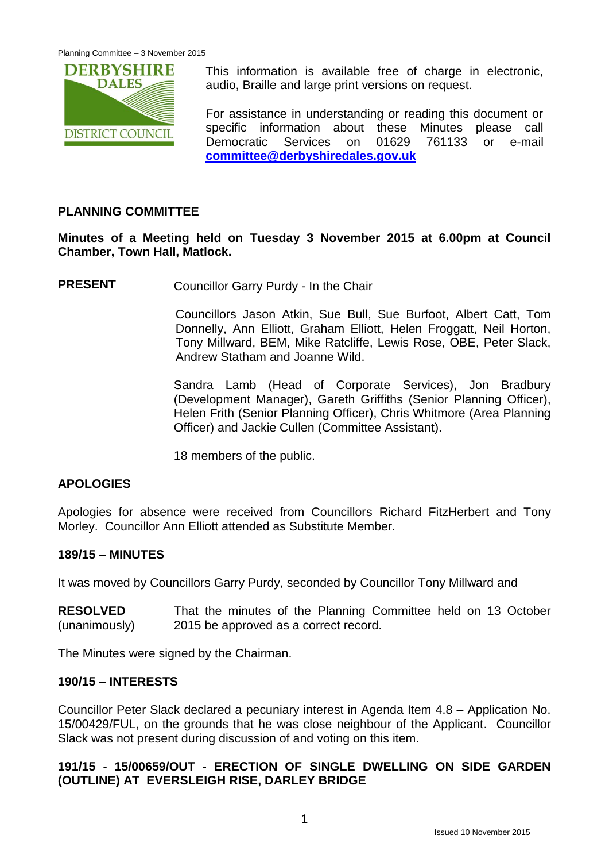

This information is available free of charge in electronic, audio, Braille and large print versions on request.

For assistance in understanding or reading this document or specific information about these Minutes please call Democratic Services on 01629 761133 or e-mail **[committee@derbyshiredales.gov.uk](mailto:committee@derbyshiredales.gov.uk)**

# **PLANNING COMMITTEE**

**Minutes of a Meeting held on Tuesday 3 November 2015 at 6.00pm at Council Chamber, Town Hall, Matlock.**

**PRESENT** Councillor Garry Purdy - In the Chair

Councillors Jason Atkin, Sue Bull, Sue Burfoot, Albert Catt, Tom Donnelly, Ann Elliott, Graham Elliott, Helen Froggatt, Neil Horton, Tony Millward, BEM, Mike Ratcliffe, Lewis Rose, OBE, Peter Slack, Andrew Statham and Joanne Wild.

Sandra Lamb (Head of Corporate Services), Jon Bradbury (Development Manager), Gareth Griffiths (Senior Planning Officer), Helen Frith (Senior Planning Officer), Chris Whitmore (Area Planning Officer) and Jackie Cullen (Committee Assistant).

18 members of the public.

# **APOLOGIES**

Apologies for absence were received from Councillors Richard FitzHerbert and Tony Morley. Councillor Ann Elliott attended as Substitute Member.

# **189/15 – MINUTES**

It was moved by Councillors Garry Purdy, seconded by Councillor Tony Millward and

**RESOLVED** (unanimously) That the minutes of the Planning Committee held on 13 October 2015 be approved as a correct record.

The Minutes were signed by the Chairman.

### **190/15 – INTERESTS**

Councillor Peter Slack declared a pecuniary interest in Agenda Item 4.8 – Application No. 15/00429/FUL, on the grounds that he was close neighbour of the Applicant. Councillor Slack was not present during discussion of and voting on this item.

# **191/15 - 15/00659/OUT - ERECTION OF SINGLE DWELLING ON SIDE GARDEN (OUTLINE) AT EVERSLEIGH RISE, DARLEY BRIDGE**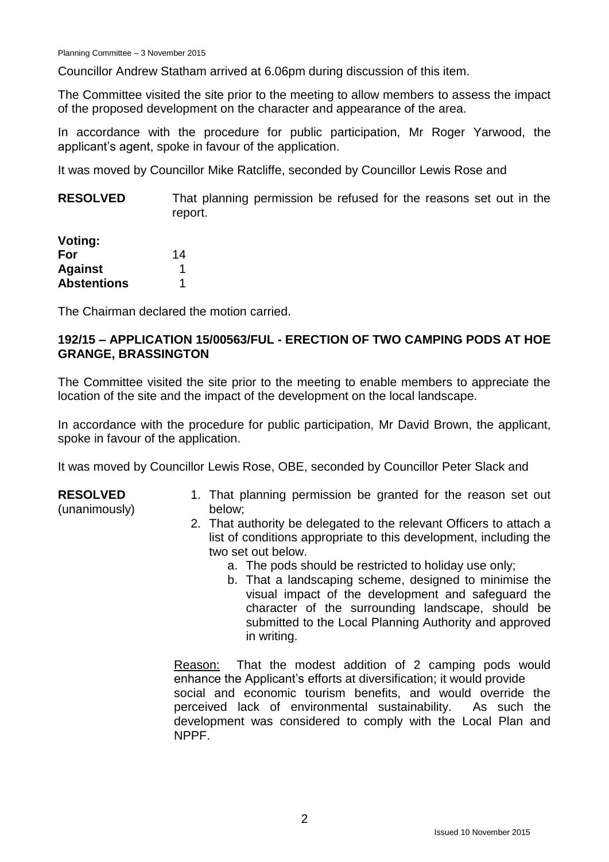Councillor Andrew Statham arrived at 6.06pm during discussion of this item.

The Committee visited the site prior to the meeting to allow members to assess the impact of the proposed development on the character and appearance of the area.

In accordance with the procedure for public participation, Mr Roger Yarwood, the applicant's agent, spoke in favour of the application.

It was moved by Councillor Mike Ratcliffe, seconded by Councillor Lewis Rose and

**RESOLVED** That planning permission be refused for the reasons set out in the report.

| <b>Voting:</b>     |    |
|--------------------|----|
| For                | 14 |
| <b>Against</b>     |    |
| <b>Abstentions</b> | 1  |

The Chairman declared the motion carried.

## **192/15 – APPLICATION 15/00563/FUL - ERECTION OF TWO CAMPING PODS AT HOE GRANGE, BRASSINGTON**

The Committee visited the site prior to the meeting to enable members to appreciate the location of the site and the impact of the development on the local landscape.

In accordance with the procedure for public participation, Mr David Brown, the applicant, spoke in favour of the application.

It was moved by Councillor Lewis Rose, OBE, seconded by Councillor Peter Slack and

#### **RESOLVED**

(unanimously)

- 1. That planning permission be granted for the reason set out below;
- 2. That authority be delegated to the relevant Officers to attach a list of conditions appropriate to this development, including the two set out below.
	- a. The pods should be restricted to holiday use only;
	- b. That a landscaping scheme, designed to minimise the visual impact of the development and safeguard the character of the surrounding landscape, should be submitted to the Local Planning Authority and approved in writing.

Reason: That the modest addition of 2 camping pods would enhance the Applicant's efforts at diversification; it would provide social and economic tourism benefits, and would override the perceived lack of environmental sustainability. As such the development was considered to comply with the Local Plan and NPPF.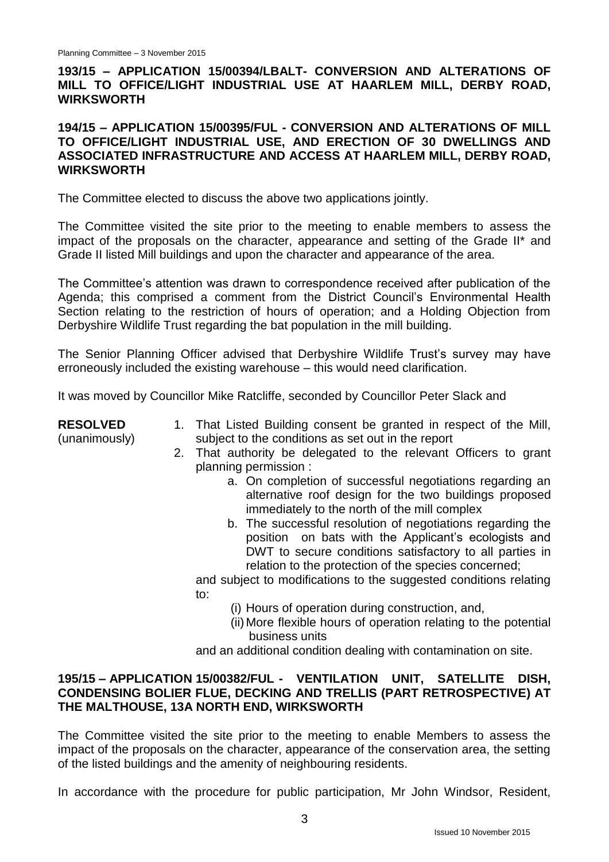## **193/15 – APPLICATION 15/00394/LBALT- CONVERSION AND ALTERATIONS OF MILL TO OFFICE/LIGHT INDUSTRIAL USE AT HAARLEM MILL, DERBY ROAD, WIRKSWORTH**

#### **194/15 – APPLICATION 15/00395/FUL - CONVERSION AND ALTERATIONS OF MILL TO OFFICE/LIGHT INDUSTRIAL USE, AND ERECTION OF 30 DWELLINGS AND ASSOCIATED INFRASTRUCTURE AND ACCESS AT HAARLEM MILL, DERBY ROAD, WIRKSWORTH**

The Committee elected to discuss the above two applications jointly.

The Committee visited the site prior to the meeting to enable members to assess the impact of the proposals on the character, appearance and setting of the Grade II\* and Grade II listed Mill buildings and upon the character and appearance of the area.

The Committee's attention was drawn to correspondence received after publication of the Agenda; this comprised a comment from the District Council's Environmental Health Section relating to the restriction of hours of operation; and a Holding Objection from Derbyshire Wildlife Trust regarding the bat population in the mill building.

The Senior Planning Officer advised that Derbyshire Wildlife Trust's survey may have erroneously included the existing warehouse – this would need clarification.

It was moved by Councillor Mike Ratcliffe, seconded by Councillor Peter Slack and

**RESOLVED** (unanimously)

- 1. That Listed Building consent be granted in respect of the Mill, subject to the conditions as set out in the report
- 2. That authority be delegated to the relevant Officers to grant planning permission :
	- a. On completion of successful negotiations regarding an alternative roof design for the two buildings proposed immediately to the north of the mill complex
	- b. The successful resolution of negotiations regarding the position on bats with the Applicant's ecologists and DWT to secure conditions satisfactory to all parties in relation to the protection of the species concerned;

and subject to modifications to the suggested conditions relating to:

- (i) Hours of operation during construction, and,
- (ii) More flexible hours of operation relating to the potential business units

and an additional condition dealing with contamination on site.

### **195/15 – APPLICATION 15/00382/FUL - VENTILATION UNIT, SATELLITE DISH, CONDENSING BOLIER FLUE, DECKING AND TRELLIS (PART RETROSPECTIVE) AT THE MALTHOUSE, 13A NORTH END, WIRKSWORTH**

The Committee visited the site prior to the meeting to enable Members to assess the impact of the proposals on the character, appearance of the conservation area, the setting of the listed buildings and the amenity of neighbouring residents.

In accordance with the procedure for public participation, Mr John Windsor, Resident,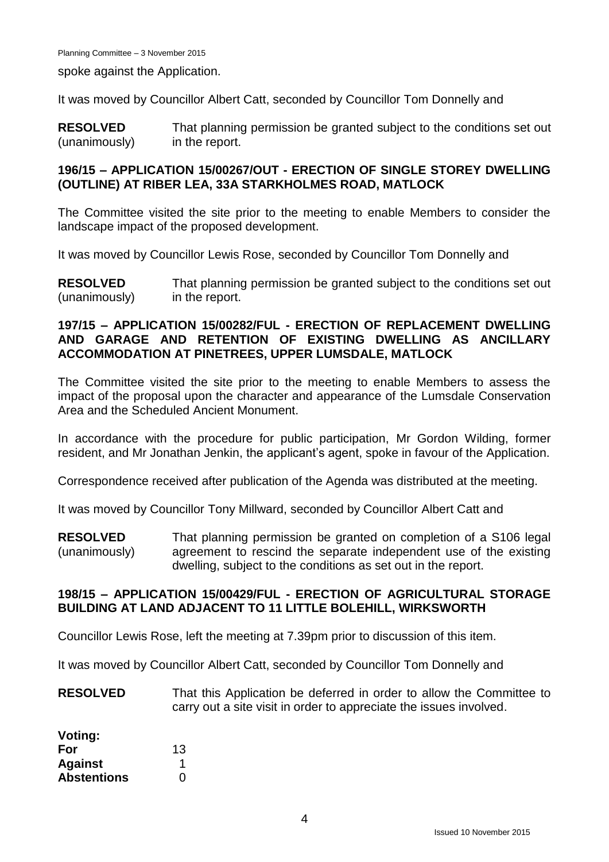spoke against the Application.

It was moved by Councillor Albert Catt, seconded by Councillor Tom Donnelly and

**RESOLVED** (unanimously) That planning permission be granted subject to the conditions set out in the report.

#### **196/15 – APPLICATION 15/00267/OUT - ERECTION OF SINGLE STOREY DWELLING (OUTLINE) AT RIBER LEA, 33A STARKHOLMES ROAD, MATLOCK**

The Committee visited the site prior to the meeting to enable Members to consider the landscape impact of the proposed development.

It was moved by Councillor Lewis Rose, seconded by Councillor Tom Donnelly and

**RESOLVED** (unanimously) That planning permission be granted subject to the conditions set out in the report.

#### **197/15 – APPLICATION 15/00282/FUL - ERECTION OF REPLACEMENT DWELLING AND GARAGE AND RETENTION OF EXISTING DWELLING AS ANCILLARY ACCOMMODATION AT PINETREES, UPPER LUMSDALE, MATLOCK**

The Committee visited the site prior to the meeting to enable Members to assess the impact of the proposal upon the character and appearance of the Lumsdale Conservation Area and the Scheduled Ancient Monument.

In accordance with the procedure for public participation, Mr Gordon Wilding, former resident, and Mr Jonathan Jenkin, the applicant's agent, spoke in favour of the Application.

Correspondence received after publication of the Agenda was distributed at the meeting.

It was moved by Councillor Tony Millward, seconded by Councillor Albert Catt and

**RESOLVED** (unanimously) That planning permission be granted on completion of a S106 legal agreement to rescind the separate independent use of the existing dwelling, subject to the conditions as set out in the report.

### **198/15 – APPLICATION 15/00429/FUL - ERECTION OF AGRICULTURAL STORAGE BUILDING AT LAND ADJACENT TO 11 LITTLE BOLEHILL, WIRKSWORTH**

Councillor Lewis Rose, left the meeting at 7.39pm prior to discussion of this item.

It was moved by Councillor Albert Catt, seconded by Councillor Tom Donnelly and

**RESOLVED** That this Application be deferred in order to allow the Committee to carry out a site visit in order to appreciate the issues involved.

| Voting:            |    |
|--------------------|----|
| For                | 13 |
| <b>Against</b>     |    |
| <b>Abstentions</b> | O  |